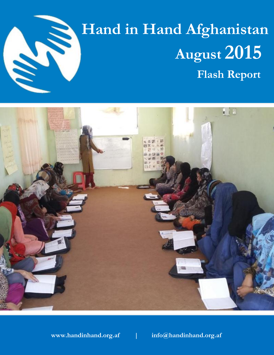

# **Hand in Hand Afghanistan August** 2015  **Flash Report**



**www.handinhand.org.af | info@handinhand.org.af**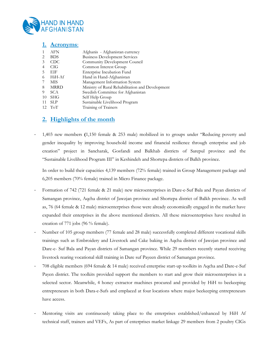

#### **1. Acronyms**:

| 1  | AFN         | Afghanis - Afghanistan currency                  |
|----|-------------|--------------------------------------------------|
| 2  | <b>BDS</b>  | <b>Business Development Services</b>             |
| 3  | CDC.        | Community Development Council                    |
| 4  | <b>CIG</b>  | Common Interest Group                            |
| 5  | EIF         | Enterprise Incubation Fund                       |
| 6  | HiH-Af      | Hand in Hand-Afghanistan                         |
| 7  | MIS         | Management Information System                    |
| 8  | <b>MRRD</b> | Ministry of Rural Rehabilitation and Development |
| 9  | <b>SCA</b>  | Swedish Committee for Afghanistan                |
| 10 | <b>SHG</b>  | Self Help Group                                  |
| 11 | <b>SLP</b>  | Sustainable Livelihood Program                   |
|    | $12$ ToT    | Training of Trainers                             |
|    |             |                                                  |

### **2. Highlights of the month**

- 1,403 new members **(**1,150 female & 253 male) mobilized in to groups under "Reducing poverty and gender inequality by improving household income and financial resilience through enterprise and job creation" project in Sancharak, Gosfandi and Balkhab districts of Sarepul province and the "Sustainable Livelihood Program III" in Keshindeh and Shortepa districts of Balkh province.

In order to build their capacities 4,139 members (72% female) trained in Group Management package and 6,205 members (70% female) trained in Micro Finance package.

- Formation of 742 (721 female & 21 male) new microenterprises in Dare-e-Suf Bala and Payan districts of Samangan province, Aqcha district of Jawzjan province and Shortepa district of Balkh province. As well as, 76 (64 female & 12 male) microenterprises those were already economically engaged in the market have expanded their enterprises in the above mentioned districts. All these microenterprises have resulted in creation of 771 jobs (96 % female).
- Number of 105 group members (77 female and 28 male) successfully completed different vocational skills trainings such as Embroidery and Livestock and Cake baking in Aqcha district of Jawzjan province and Dare-e- Suf Bala and Payan districts of Samangan province. While 29 members recently started receiving livestock rearing vocational skill training in Dare suf Payeen district of Samangan province.
- 708 eligible members (694 female & 14 male) received enterprise start-up toolkits in Aqcha and Dare-e-Suf Payen district. The toolkits provided support the members to start and grow their microenterprises in a selected sector. Meanwhile, 4 honey extractor machines procured and provided by HiH to beekeeping entrepreneurs in both Dara-e-Sufs and emplaced at four locations where major beekeeping entrepreneurs have access.
- Mentoring visits are continuously taking place to the enterprises established/enhanced by HiH Af technical staff, trainers and VEFs, As part of enterprises market linkage 92 members from 2 poultry CIGs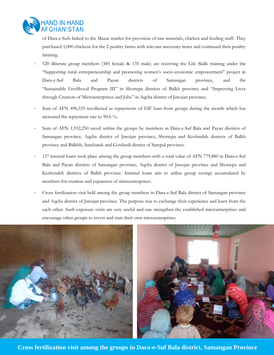

of Dara-e-Sufs linked to the Mazar market for provision of raw materials, chicken and feeding stuff. They purchased 1,000 chickens for the 2 poultry farms with relevant necessary items and continued their poultry farming.

- 520 illiterate group members (385 female & 135 male) are receiving the Life Skills training under the "Supporting rural entrepreneurship and promoting women's socio-economic empowerment" project in Dara-e-Suf Bala and Payan districts of Samangan province, and the "Sustainable Livelihood Program III" in Shortepa districts of Balkh province and "Improving Lives through Creation of Microenterprises and Jobs" in Aqcha district of Jawzjan province.
- Sum of AFN 496,335 recollected as repayments of EIF loan from groups during the month which has increased the repayment rate to 90.6 %**.**
- Sum of AFN 1,932,250 saved within the groups by members in Dara-e-Suf Bala and Payan districts of Samangan province, Aqcha district of Jawzjan province, Shortepa and Keshindeh districts of Balkh province and Balkhb, Sancharak and Gosfandi district of Sarepul province.
- 127 internal loans took place among the group members with a total value of AFN 779,880 in Dara-e-Suf Bala and Payan districts of Samangan province, Aqcha district of Jawzjan province and Shortepa and Keshendeh districts of Balkh province. Internal loans aim to utilize group savings accumulated by members for creation and expansion of microenterprises.
- Cross fertilization visit held among the group members in Dara-e-Suf Bala district of Samangan province and Aqcha district of Jawzjan province. The purpose was to exchange their experience and learn from the each other. Such exposure visits are very useful and can strengthen the established microenterprises and encourage other groups to invest and start their own microenterprises.



**Cross fertilization visit among the groups in Dara-e-Suf Bala district, Samangan Province**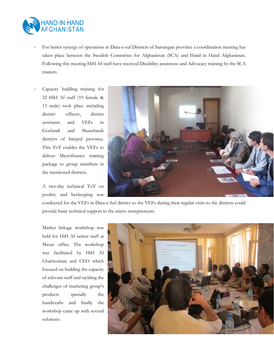

- For better synergy of operations in Dara-e-suf Districts of Samangan province a coordination meeting has taken place between the Swedish Committee for Afghanistan (SCA) and Hand in Hand Afghanistan. Following this meeting HiH Af staff have received Disability awareness and Advocacy training by the SCA trainers.
- Capacity building training for 32 HiH Af staff (19 female & 13 male) took place including district officers, district assistants and VEFs in Gosfandi and Shancharak districts of Sarepul province. This ToT enables the VEFs to deliver Microfinance training package to group members in the mentioned districts.

A two-day technical ToT on poultry and beekeeping was



conducted for the VEFs in Dara-e-Suf district so the VEFs during their regular visits to the districts could provide basic technical support to the micro entrepreneurs.

Market linkage workshop was held for HiH Af senior staff at Mazar office. The workshop was facilitated by HiH Af Chairwoman and CEO which focused on building the capacity of relevant staff and tackling the challenges of marketing group's products specially the handicrafts and finally the workshop came up with several solutions.

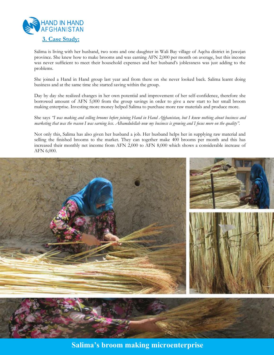

Salima is living with her husband, two sons and one daughter in Wali Bay village of Aqcha district in Jawzjan province. She knew how to make brooms and was earning AFN 2,000 per month on average, but this income was never sufficient to meet their household expenses and her husband's joblessness was just adding to the problems.

She joined a Hand in Hand group last year and from there on she never looked back. Salima learnt doing business and at the same time she started saving within the group.

Day by day she realized changes in her own potential and improvement of her self-confidence, therefore she borrowed amount of AFN 5,000 from the group savings in order to give a new start to her small broom making enterprise. Investing more money helped Salima to purchase more raw materials and produce more.

She says *"I was making and selling brooms before joining Hand in Hand Afghanistan, but I knew nothing about business and marketing that was the reason I was earning less. Alhamdulellah now my business is growing and I focus more on the quality".* 

Not only this, Salima has also given her husband a job. Her husband helps her in supplying raw material and selling the finished brooms to the market. They can together make 400 brooms per month and this has increased their monthly net income from AFN 2,000 to AFN 8,000 which shows a considerable increase of AFN 6,000.



**Salima's broom making microenterprise**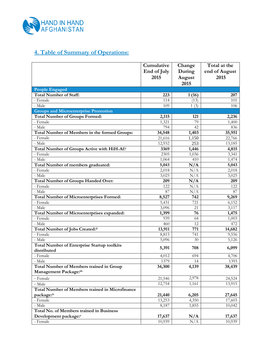

## **4. Table of Summary of Operations:**

|                                                        | Cumulative  | Change | Total at the       |
|--------------------------------------------------------|-------------|--------|--------------------|
|                                                        | End of July | During | end of August      |
|                                                        | 2015        | August | 2015               |
|                                                        |             | 2015   |                    |
| <b>People Engaged</b>                                  |             |        |                    |
| <b>Total Number of Staff:</b>                          | 223         | 1(16)  | 207                |
| - Female                                               | 114         | (13)   | 101                |
| - Male                                                 | 109         | 1(3)   | 106                |
| <b>Groups and Microenterprise Promotion</b>            |             |        |                    |
| <b>Total Number of Groups Formed:</b>                  | 2,115       | 121    | 2,236              |
| - Female                                               | 1,321       | 79     | 1,400              |
| - Male                                                 | 794         | 42     | 836                |
| Total Number of Members in the formed Groups:          | 34,548      | 1,403  | 35,951             |
| - Female                                               | 21,616      | 1,150  | 22,766             |
| - Male                                                 | 12,932      | 253    | 13,185             |
| Total Number of Groups Active with HiH-Af:i            | 3369        | 1,446  | 4,815              |
| - Female                                               | 2305        | 1,036  | 3,341              |
| - Male                                                 | 1,064       | 410    | 1,474              |
| Total Number of members graduated:                     | 5,043       | N/A    | 5,043              |
| - Female                                               | 2,018       | N/A    | 2,018              |
| - Male                                                 | 3,025       | N/A    | $3,02\overline{5}$ |
| <b>Total Number of Groups Handed Over:</b>             | 209         | N/A    | 209                |
| - Female                                               | 122         | N/A    | 122                |
| - Male                                                 | 87          | N/A    | 87                 |
| <b>Total Number of Microenterprises Formed:</b>        | 8,527       | 742    | 9,269              |
| - Female                                               | 5,431       | 721    | 6,152              |
| - Male                                                 | 3,096       | 21     | 3,117              |
| Total Number of Microenterprises expanded:             | 1,399       | 76     | 1,475              |
| - Female                                               | 939         | 64     | 1,003              |
| - Male                                                 | 460         | 12     | 472                |
| Total Number of Jobs Created:ii                        | 13,911      | 771    | 14,682             |
| - Female                                               | 8,815       | 741    | 9,556              |
| - Male                                                 | 5,096       | 30     | 5,126              |
| <b>Total Number of Enterprise Startup toolkits</b>     |             |        |                    |
| distributed                                            | 5,391       | 708    | 6,099              |
| - Female                                               | 4,012       | 694    | 4,706              |
| - Male                                                 | 1379        | 14     | 1393               |
| <b>Total Number of Members trained in Group</b>        | 34,300      | 4,139  | 38,439             |
| Management Package:iii                                 |             |        |                    |
| - Female                                               | 21,546      | 2,978  | 24,524             |
| - Male                                                 | 12,754      | 1,161  | 13,915             |
| <b>Total Number of Members trained in Microfinance</b> |             |        |                    |
| package:iv                                             | 21,440      | 6,205  | 27,645             |
| - Female                                               | 13,253      | 4,350  | 17,603             |
| - Male                                                 | 8,187       | 1,855  | 10,042             |
| <b>Total No. of Members trained in Business</b>        |             |        |                    |
| Development package:v                                  | 17,637      | N/A    | 17,637             |
| - Female                                               | 10,939      | N/A    | 10,939             |